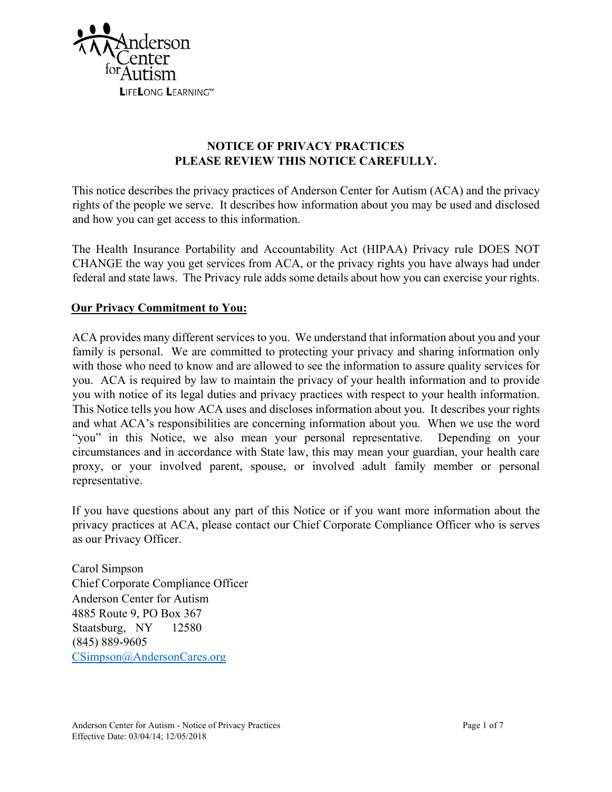

# **NOTICE OF PRIVACY PRACTICES PLEASE REVIEW THIS NOTICE CAREFULLY.**

This notice describes the privacy practices of Anderson Center for Autism (ACA) and the privacy rights of the people we serve. It describes how information about you may be used and disclosed and how you can get access to this information.

The Health Insurance Portability and Accountability Act (HIPAA) Privacy rule DOES NOT CHANGE the way you get services from ACA, or the privacy rights you have always had under federal and state laws. The Privacy rule adds some details about how you can exercise your rights.

# **Our Privacy Commitment to You:**

ACA provides many different services to you. We understand that information about you and your family is personal. We are committed to protecting your privacy and sharing information only with those who need to know and are allowed to see the information to assure quality services for you. ACA is required by law to maintain the privacy of your health information and to provide you with notice of its legal duties and privacy practices with respect to your health information. This Notice tells you how ACA uses and discloses information about you. It describes your rights and what ACA's responsibilities are concerning information about you. When we use the word "you" in this Notice, we also mean your personal representative. Depending on your circumstances and in accordance with State law, this may mean your guardian, your health care proxy, or your involved parent, spouse, or involved adult family member or personal representative.

If you have questions about any part of this Notice or if you want more information about the privacy practices at ACA, please contact our Chief Corporate Compliance Officer who is serves as our Privacy Officer.

Carol Simpson Chief Corporate Compliance Officer Anderson Center for Autism 4885 Route 9, PO Box 367 Staatsburg, NY 12580 (845) 889-9605 CSimpson@AndersonCares.org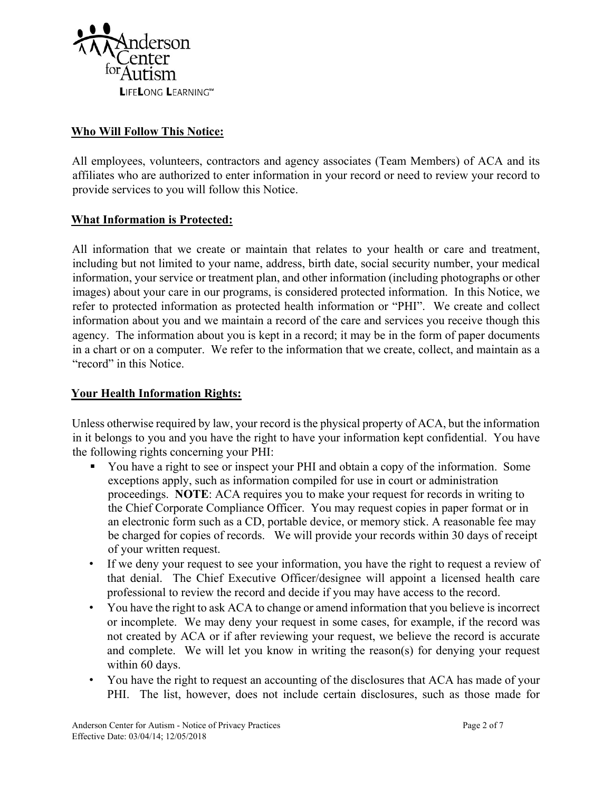

## **Who Will Follow This Notice:**

All employees, volunteers, contractors and agency associates (Team Members) of ACA and its affiliates who are authorized to enter information in your record or need to review your record to provide services to you will follow this Notice.

### **What Information is Protected:**

All information that we create or maintain that relates to your health or care and treatment, including but not limited to your name, address, birth date, social security number, your medical information, your service or treatment plan, and other information (including photographs or other images) about your care in our programs, is considered protected information. In this Notice, we refer to protected information as protected health information or "PHI". We create and collect information about you and we maintain a record of the care and services you receive though this agency. The information about you is kept in a record; it may be in the form of paper documents in a chart or on a computer. We refer to the information that we create, collect, and maintain as a "record" in this Notice.

### **Your Health Information Rights:**

Unless otherwise required by law, your record is the physical property of ACA, but the information in it belongs to you and you have the right to have your information kept confidential. You have the following rights concerning your PHI:

- You have a right to see or inspect your PHI and obtain a copy of the information. Some exceptions apply, such as information compiled for use in court or administration proceedings. **NOTE**: ACA requires you to make your request for records in writing to the Chief Corporate Compliance Officer. You may request copies in paper format or in an electronic form such as a CD, portable device, or memory stick. A reasonable fee may be charged for copies of records. We will provide your records within 30 days of receipt of your written request.
- If we deny your request to see your information, you have the right to request a review of that denial. The Chief Executive Officer/designee will appoint a licensed health care professional to review the record and decide if you may have access to the record.
- You have the right to ask ACA to change or amend information that you believe is incorrect or incomplete. We may deny your request in some cases, for example, if the record was not created by ACA or if after reviewing your request, we believe the record is accurate and complete. We will let you know in writing the reason(s) for denying your request within 60 days.
- You have the right to request an accounting of the disclosures that ACA has made of your PHI. The list, however, does not include certain disclosures, such as those made for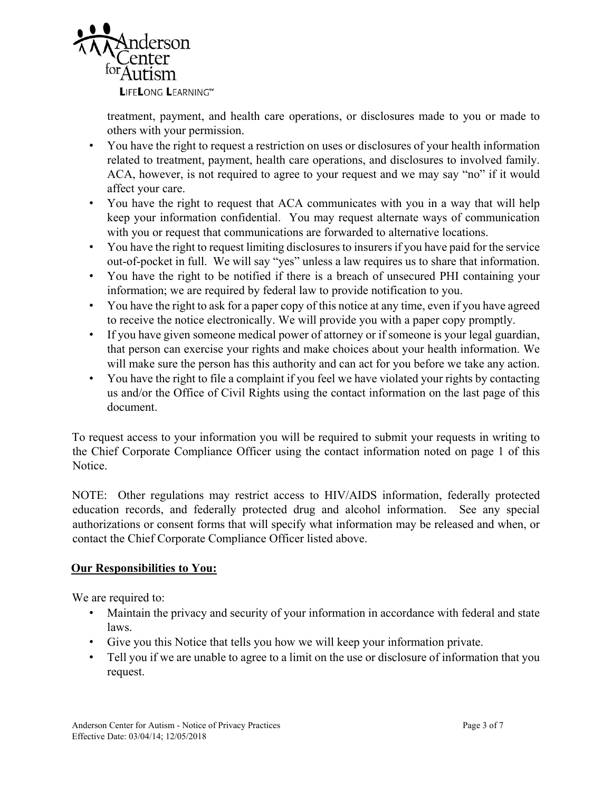

treatment, payment, and health care operations, or disclosures made to you or made to others with your permission.

- You have the right to request a restriction on uses or disclosures of your health information related to treatment, payment, health care operations, and disclosures to involved family. ACA, however, is not required to agree to your request and we may say "no" if it would affect your care.
- You have the right to request that ACA communicates with you in a way that will help keep your information confidential. You may request alternate ways of communication with you or request that communications are forwarded to alternative locations.
- You have the right to request limiting disclosures to insurers if you have paid for the service out-of-pocket in full. We will say "yes" unless a law requires us to share that information.
- You have the right to be notified if there is a breach of unsecured PHI containing your information; we are required by federal law to provide notification to you.
- You have the right to ask for a paper copy of this notice at any time, even if you have agreed to receive the notice electronically. We will provide you with a paper copy promptly.
- If you have given someone medical power of attorney or if someone is your legal guardian, that person can exercise your rights and make choices about your health information. We will make sure the person has this authority and can act for you before we take any action.
- You have the right to file a complaint if you feel we have violated your rights by contacting us and/or the Office of Civil Rights using the contact information on the last page of this document.

To request access to your information you will be required to submit your requests in writing to the Chief Corporate Compliance Officer using the contact information noted on page 1 of this Notice.

NOTE: Other regulations may restrict access to HIV/AIDS information, federally protected education records, and federally protected drug and alcohol information. See any special authorizations or consent forms that will specify what information may be released and when, or contact the Chief Corporate Compliance Officer listed above.

# **Our Responsibilities to You:**

We are required to:

- Maintain the privacy and security of your information in accordance with federal and state laws.
- Give you this Notice that tells you how we will keep your information private.
- Tell you if we are unable to agree to a limit on the use or disclosure of information that you request.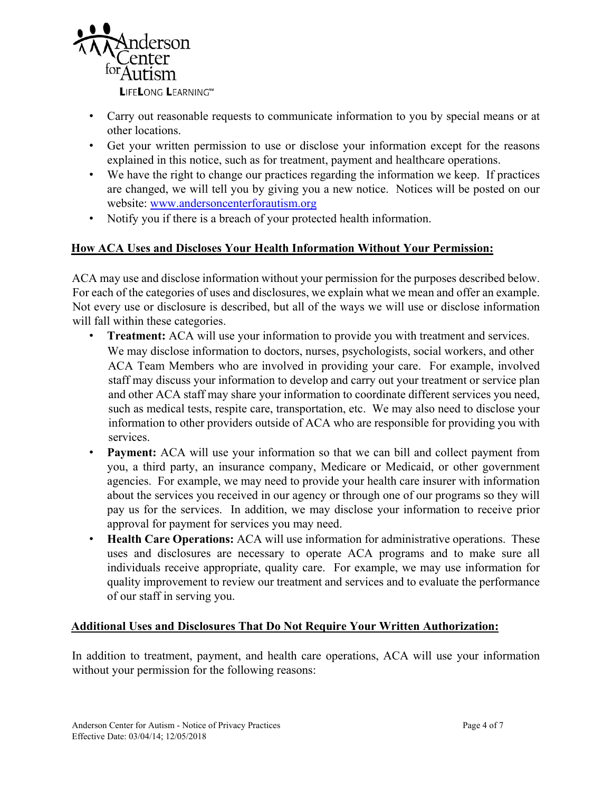

- Carry out reasonable requests to communicate information to you by special means or at other locations.
- Get your written permission to use or disclose your information except for the reasons explained in this notice, such as for treatment, payment and healthcare operations.
- We have the right to change our practices regarding the information we keep. If practices are changed, we will tell you by giving you a new notice. Notices will be posted on our website: www.andersoncenterforautism.org
- Notify you if there is a breach of your protected health information.

# **How ACA Uses and Discloses Your Health Information Without Your Permission:**

ACA may use and disclose information without your permission for the purposes described below. For each of the categories of uses and disclosures, we explain what we mean and offer an example. Not every use or disclosure is described, but all of the ways we will use or disclose information will fall within these categories.

- **Treatment:** ACA will use your information to provide you with treatment and services. We may disclose information to doctors, nurses, psychologists, social workers, and other ACA Team Members who are involved in providing your care. For example, involved staff may discuss your information to develop and carry out your treatment or service plan and other ACA staff may share your information to coordinate different services you need, such as medical tests, respite care, transportation, etc. We may also need to disclose your information to other providers outside of ACA who are responsible for providing you with services.
- **Payment:** ACA will use your information so that we can bill and collect payment from you, a third party, an insurance company, Medicare or Medicaid, or other government agencies. For example, we may need to provide your health care insurer with information about the services you received in our agency or through one of our programs so they will pay us for the services. In addition, we may disclose your information to receive prior approval for payment for services you may need.
- **Health Care Operations:** ACA will use information for administrative operations. These uses and disclosures are necessary to operate ACA programs and to make sure all individuals receive appropriate, quality care. For example, we may use information for quality improvement to review our treatment and services and to evaluate the performance of our staff in serving you.

# **Additional Uses and Disclosures That Do Not Require Your Written Authorization:**

In addition to treatment, payment, and health care operations, ACA will use your information without your permission for the following reasons: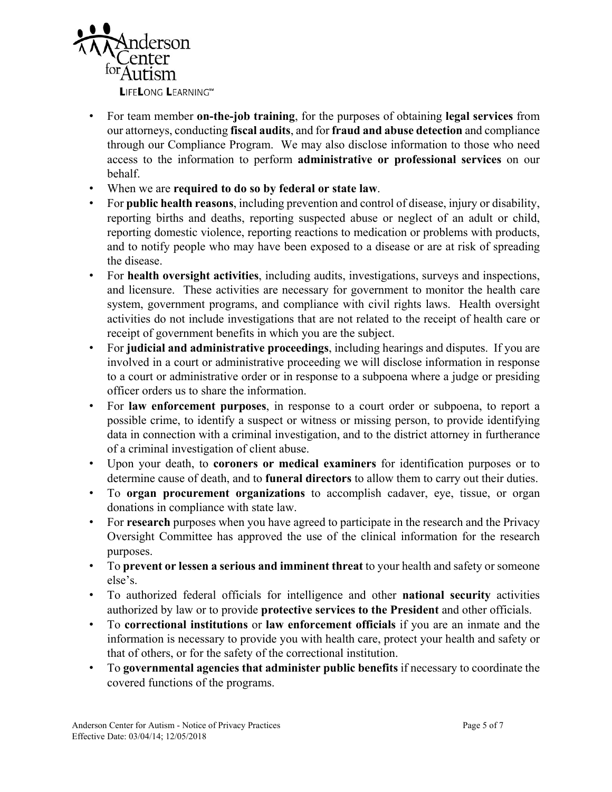

- For team member **on-the-job training**, for the purposes of obtaining **legal services** from our attorneys, conducting **fiscal audits**, and for **fraud and abuse detection** and compliance through our Compliance Program. We may also disclose information to those who need access to the information to perform **administrative or professional services** on our behalf.
- When we are **required to do so by federal or state law**.
- For **public health reasons**, including prevention and control of disease, injury or disability, reporting births and deaths, reporting suspected abuse or neglect of an adult or child, reporting domestic violence, reporting reactions to medication or problems with products, and to notify people who may have been exposed to a disease or are at risk of spreading the disease.
- For **health oversight activities**, including audits, investigations, surveys and inspections, and licensure. These activities are necessary for government to monitor the health care system, government programs, and compliance with civil rights laws. Health oversight activities do not include investigations that are not related to the receipt of health care or receipt of government benefits in which you are the subject.
- For **judicial and administrative proceedings**, including hearings and disputes. If you are involved in a court or administrative proceeding we will disclose information in response to a court or administrative order or in response to a subpoena where a judge or presiding officer orders us to share the information.
- For **law enforcement purposes**, in response to a court order or subpoena, to report a possible crime, to identify a suspect or witness or missing person, to provide identifying data in connection with a criminal investigation, and to the district attorney in furtherance of a criminal investigation of client abuse.
- Upon your death, to **coroners or medical examiners** for identification purposes or to determine cause of death, and to **funeral directors** to allow them to carry out their duties.
- To **organ procurement organizations** to accomplish cadaver, eye, tissue, or organ donations in compliance with state law.
- For **research** purposes when you have agreed to participate in the research and the Privacy Oversight Committee has approved the use of the clinical information for the research purposes.
- To **prevent or lessen a serious and imminent threat** to your health and safety or someone else's.
- To authorized federal officials for intelligence and other **national security** activities authorized by law or to provide **protective services to the President** and other officials.
- To **correctional institutions** or **law enforcement officials** if you are an inmate and the information is necessary to provide you with health care, protect your health and safety or that of others, or for the safety of the correctional institution.
- To **governmental agencies that administer public benefits** if necessary to coordinate the covered functions of the programs.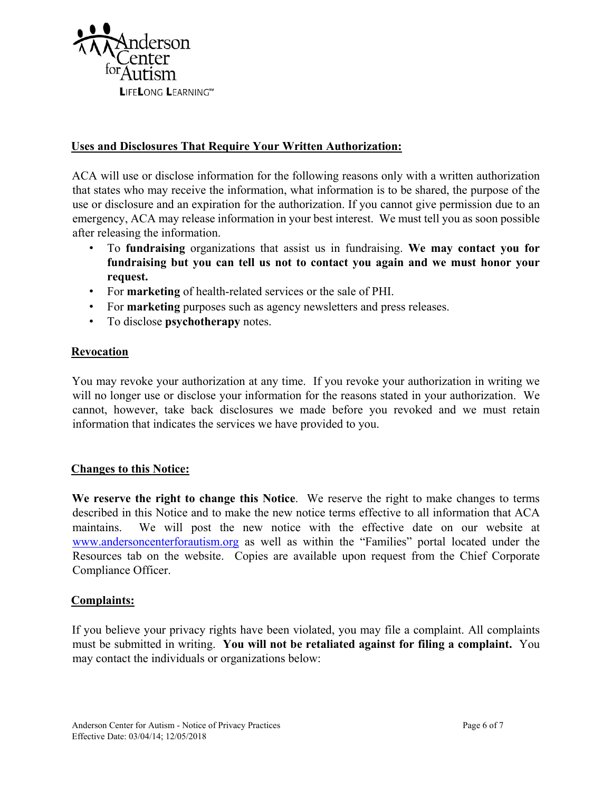

## **Uses and Disclosures That Require Your Written Authorization:**

ACA will use or disclose information for the following reasons only with a written authorization that states who may receive the information, what information is to be shared, the purpose of the use or disclosure and an expiration for the authorization. If you cannot give permission due to an emergency, ACA may release information in your best interest. We must tell you as soon possible after releasing the information.

- To **fundraising** organizations that assist us in fundraising. **We may contact you for fundraising but you can tell us not to contact you again and we must honor your request.**
- For **marketing** of health-related services or the sale of PHI.
- For **marketing** purposes such as agency newsletters and press releases.
- To disclose **psychotherapy** notes.

### **Revocation**

You may revoke your authorization at any time. If you revoke your authorization in writing we will no longer use or disclose your information for the reasons stated in your authorization. We cannot, however, take back disclosures we made before you revoked and we must retain information that indicates the services we have provided to you.

### **Changes to this Notice:**

**We reserve the right to change this Notice**. We reserve the right to make changes to terms described in this Notice and to make the new notice terms effective to all information that ACA maintains. We will post the new notice with the effective date on our website at www.andersoncenterforautism.org as well as within the "Families" portal located under the Resources tab on the website. Copies are available upon request from the Chief Corporate Compliance Officer.

### **Complaints:**

If you believe your privacy rights have been violated, you may file a complaint. All complaints must be submitted in writing. **You will not be retaliated against for filing a complaint.** You may contact the individuals or organizations below: